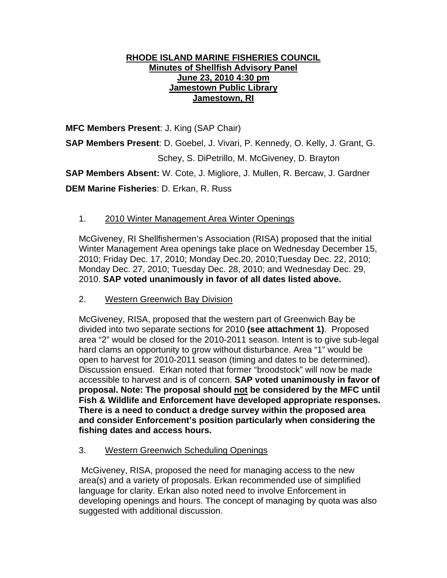### **RHODE ISLAND MARINE FISHERIES COUNCIL Minutes of Shellfish Advisory Panel June 23, 2010 4:30 pm Jamestown Public Library Jamestown, RI**

**MFC Members Present**: J. King (SAP Chair)

**SAP Members Present**: D. Goebel, J. Vivari, P. Kennedy, O. Kelly, J. Grant, G. Schey, S. DiPetrillo, M. McGiveney, D. Brayton

**SAP Members Absent:** W. Cote, J. Migliore, J. Mullen, R. Bercaw, J. Gardner **DEM Marine Fisheries**: D. Erkan, R. Russ

# 1. 2010 Winter Management Area Winter Openings

McGiveney, RI Shellfishermen's Association (RISA) proposed that the initial Winter Management Area openings take place on Wednesday December 15, 2010; Friday Dec. 17, 2010; Monday Dec.20, 2010;Tuesday Dec. 22, 2010; Monday Dec. 27, 2010; Tuesday Dec. 28, 2010; and Wednesday Dec. 29, 2010. **SAP voted unanimously in favor of all dates listed above.** 

2. Western Greenwich Bay Division

McGiveney, RISA, proposed that the western part of Greenwich Bay be divided into two separate sections for 2010 **(see attachment 1)**. Proposed area "2" would be closed for the 2010-2011 season. Intent is to give sub-legal hard clams an opportunity to grow without disturbance. Area "1" would be open to harvest for 2010-2011 season (timing and dates to be determined). Discussion ensued. Erkan noted that former "broodstock" will now be made accessible to harvest and is of concern. **SAP voted unanimously in favor of proposal. Note: The proposal should not be considered by the MFC until Fish & Wildlife and Enforcement have developed appropriate responses. There is a need to conduct a dredge survey within the proposed area and consider Enforcement's position particularly when considering the fishing dates and access hours.**

3. Western Greenwich Scheduling Openings

 McGiveney, RISA, proposed the need for managing access to the new area(s) and a variety of proposals. Erkan recommended use of simplified language for clarity. Erkan also noted need to involve Enforcement in developing openings and hours. The concept of managing by quota was also suggested with additional discussion.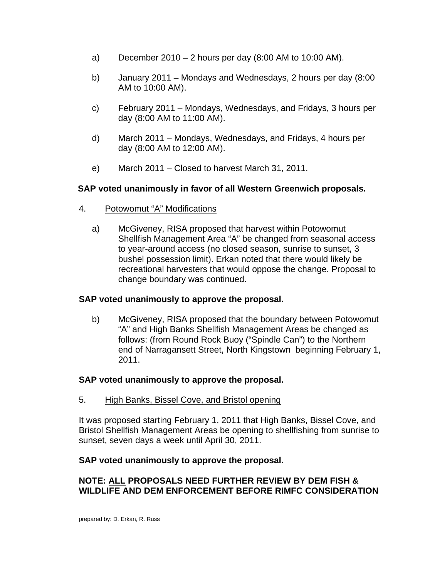- a) December 2010 2 hours per day (8:00 AM to 10:00 AM).
- b) January 2011 Mondays and Wednesdays, 2 hours per day (8:00 AM to 10:00 AM).
- c) February 2011 Mondays, Wednesdays, and Fridays, 3 hours per day (8:00 AM to 11:00 AM).
- d) March 2011 Mondays, Wednesdays, and Fridays, 4 hours per day (8:00 AM to 12:00 AM).
- e) March 2011 Closed to harvest March 31, 2011.

## **SAP voted unanimously in favor of all Western Greenwich proposals.**

- 4. Potowomut "A" Modifications
	- a) McGiveney, RISA proposed that harvest within Potowomut Shellfish Management Area "A" be changed from seasonal access to year-around access (no closed season, sunrise to sunset, 3 bushel possession limit). Erkan noted that there would likely be recreational harvesters that would oppose the change. Proposal to change boundary was continued.

### **SAP voted unanimously to approve the proposal.**

 b) McGiveney, RISA proposed that the boundary between Potowomut "A" and High Banks Shellfish Management Areas be changed as follows: (from Round Rock Buoy ("Spindle Can") to the Northern end of Narragansett Street, North Kingstown beginning February 1, 2011.

### **SAP voted unanimously to approve the proposal.**

5. High Banks, Bissel Cove, and Bristol opening

It was proposed starting February 1, 2011 that High Banks, Bissel Cove, and Bristol Shellfish Management Areas be opening to shellfishing from sunrise to sunset, seven days a week until April 30, 2011.

### **SAP voted unanimously to approve the proposal.**

## **NOTE: ALL PROPOSALS NEED FURTHER REVIEW BY DEM FISH & WILDLIFE AND DEM ENFORCEMENT BEFORE RIMFC CONSIDERATION**